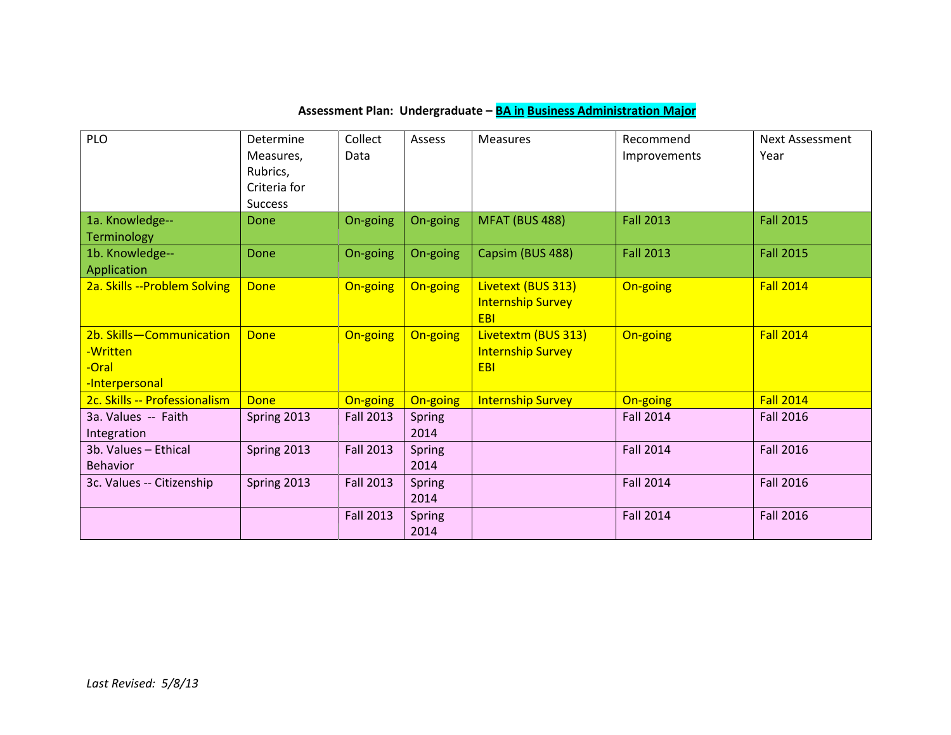## **Assessment Plan: Undergraduate – BA in Business Administration Major**

| PLO                                                             | Determine      | Collect          | Assess                | <b>Measures</b>                                        | Recommend        | <b>Next Assessment</b> |
|-----------------------------------------------------------------|----------------|------------------|-----------------------|--------------------------------------------------------|------------------|------------------------|
|                                                                 | Measures,      | Data             |                       |                                                        | Improvements     | Year                   |
|                                                                 | Rubrics,       |                  |                       |                                                        |                  |                        |
|                                                                 | Criteria for   |                  |                       |                                                        |                  |                        |
|                                                                 | <b>Success</b> |                  |                       |                                                        |                  |                        |
| 1a. Knowledge--<br><b>Terminology</b>                           | Done           | On-going         | On-going              | MFAT (BUS 488)                                         | <b>Fall 2013</b> | <b>Fall 2015</b>       |
| 1b. Knowledge--<br>Application                                  | Done           | On-going         | On-going              | Capsim (BUS 488)                                       | <b>Fall 2013</b> | <b>Fall 2015</b>       |
| 2a. Skills -- Problem Solving                                   | <b>Done</b>    | On-going         | On-going              | Livetext (BUS 313)<br><b>Internship Survey</b><br>EBI  | On-going         | <b>Fall 2014</b>       |
| 2b. Skills-Communication<br>-Written<br>-Oral<br>-Interpersonal | Done           | On-going         | On-going              | Livetextm (BUS 313)<br><b>Internship Survey</b><br>EBI | On-going         | <b>Fall 2014</b>       |
| 2c. Skills -- Professionalism                                   | <b>Done</b>    | On-going         | On-going              | <b>Internship Survey</b>                               | On-going         | <b>Fall 2014</b>       |
| 3a. Values -- Faith<br>Integration                              | Spring 2013    | <b>Fall 2013</b> | <b>Spring</b><br>2014 |                                                        | <b>Fall 2014</b> | <b>Fall 2016</b>       |
| 3b. Values - Ethical                                            | Spring 2013    | <b>Fall 2013</b> | <b>Spring</b>         |                                                        | <b>Fall 2014</b> | <b>Fall 2016</b>       |
| <b>Behavior</b>                                                 |                |                  | 2014                  |                                                        |                  |                        |
| 3c. Values -- Citizenship                                       | Spring 2013    | <b>Fall 2013</b> | <b>Spring</b>         |                                                        | <b>Fall 2014</b> | <b>Fall 2016</b>       |
|                                                                 |                |                  | 2014                  |                                                        |                  |                        |
|                                                                 |                | <b>Fall 2013</b> | <b>Spring</b>         |                                                        | <b>Fall 2014</b> | <b>Fall 2016</b>       |
|                                                                 |                |                  | 2014                  |                                                        |                  |                        |